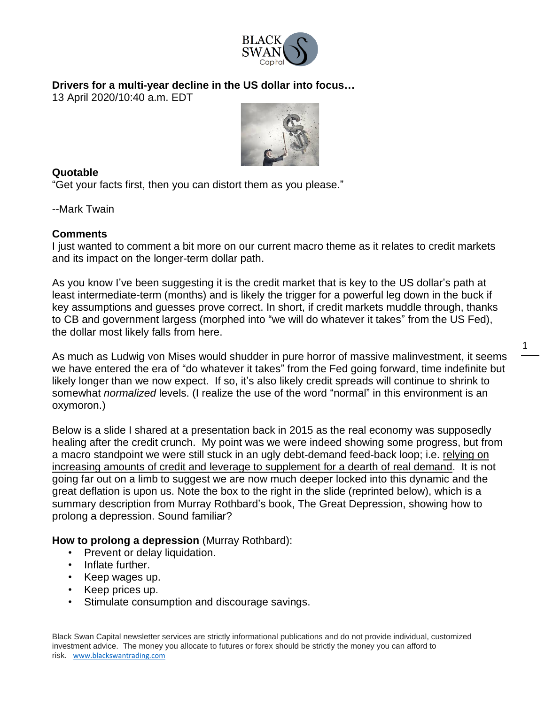

**Drivers for a multi-year decline in the US dollar into focus…**

13 April 2020/10:40 a.m. EDT



## **Quotable**

"Get your facts first, then you can distort them as you please."

--Mark Twain

## **Comments**

I just wanted to comment a bit more on our current macro theme as it relates to credit markets and its impact on the longer-term dollar path.

As you know I've been suggesting it is the credit market that is key to the US dollar's path at least intermediate-term (months) and is likely the trigger for a powerful leg down in the buck if key assumptions and guesses prove correct. In short, if credit markets muddle through, thanks to CB and government largess (morphed into "we will do whatever it takes" from the US Fed), the dollar most likely falls from here.

As much as Ludwig von Mises would shudder in pure horror of massive malinvestment, it seems we have entered the era of "do whatever it takes" from the Fed going forward, time indefinite but likely longer than we now expect. If so, it's also likely credit spreads will continue to shrink to somewhat *normalized* levels. (I realize the use of the word "normal" in this environment is an oxymoron.)

1

Below is a slide I shared at a presentation back in 2015 as the real economy was supposedly healing after the credit crunch. My point was we were indeed showing some progress, but from a macro standpoint we were still stuck in an ugly debt-demand feed-back loop; i.e. relying on increasing amounts of credit and leverage to supplement for a dearth of real demand. It is not going far out on a limb to suggest we are now much deeper locked into this dynamic and the great deflation is upon us. Note the box to the right in the slide (reprinted below), which is a summary description from Murray Rothbard's book, The Great Depression, showing how to prolong a depression. Sound familiar?

## **How to prolong a depression** (Murray Rothbard):

- Prevent or delay liquidation.
- Inflate further.
- Keep wages up.
- Keep prices up.
- Stimulate consumption and discourage savings.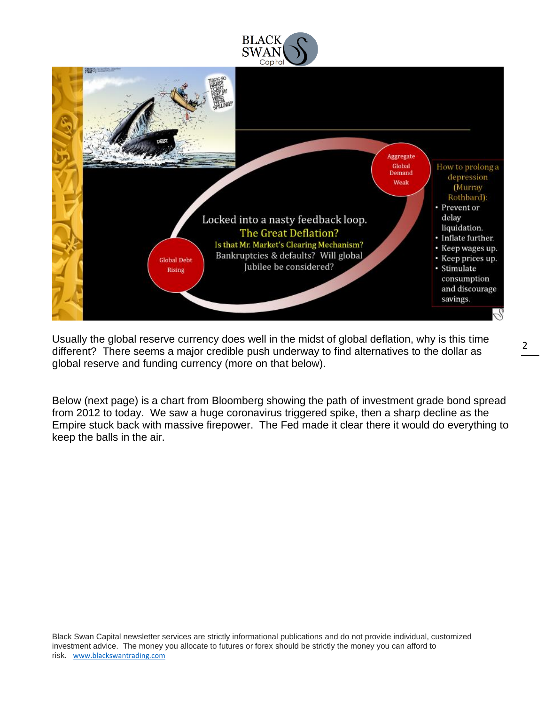



Usually the global reserve currency does well in the midst of global deflation, why is this time different? There seems a major credible push underway to find alternatives to the dollar as global reserve and funding currency (more on that below).

Below (next page) is a chart from Bloomberg showing the path of investment grade bond spread from 2012 to today. We saw a huge coronavirus triggered spike, then a sharp decline as the Empire stuck back with massive firepower. The Fed made it clear there it would do everything to keep the balls in the air.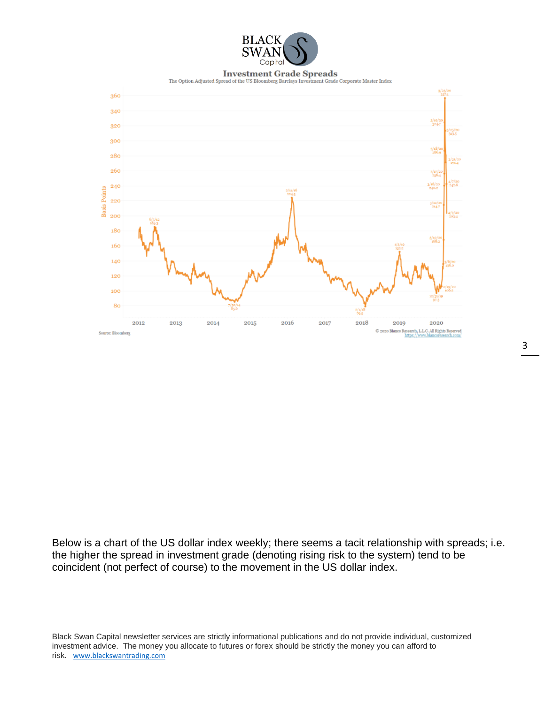

## **Investment Grade Spreads**

The Option Adjusted Spread of the US Bloomberg Barclays Invest ment Grade Corporate Master Index



Below is a chart of the US dollar index weekly; there seems a tacit relationship with spreads; i.e. the higher the spread in investment grade (denoting rising risk to the system) tend to be coincident (not perfect of course) to the movement in the US dollar index.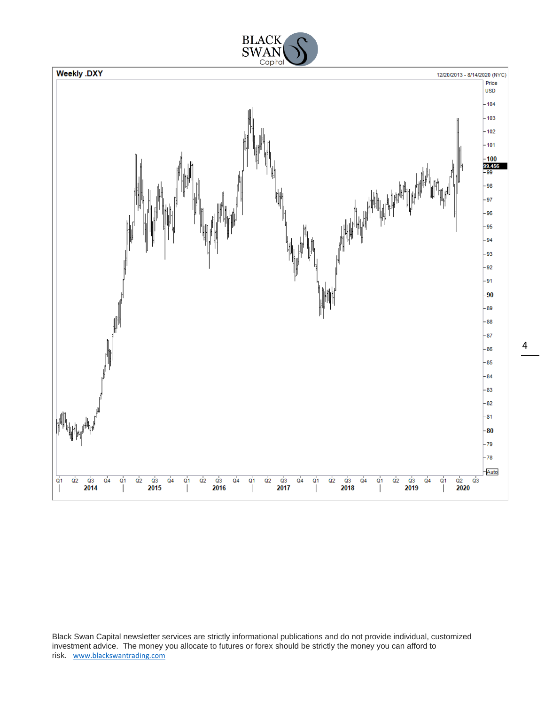

Black Swan Capital newsletter services are strictly informational publications and do not provide individual, customized investment advice. The money you allocate to futures or forex should be strictly the money you can afford to risk. [www.blackswantrading.com](http://www.blackswantrading.com/)

4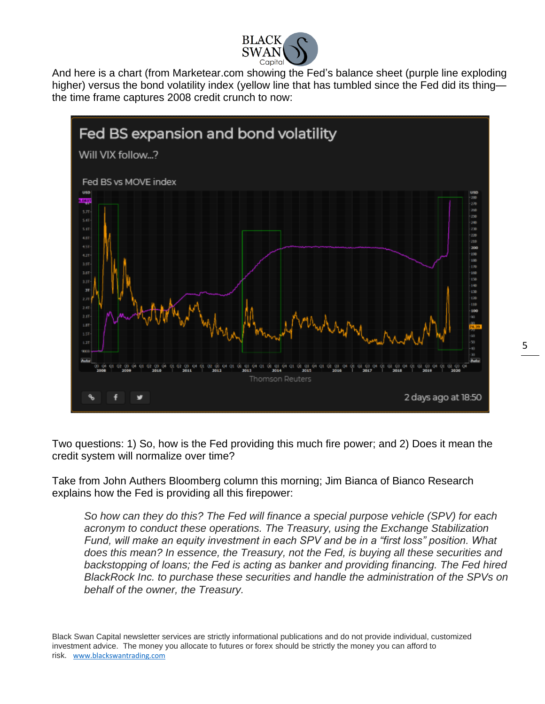

And here is a chart (from Marketear.com showing the Fed's balance sheet (purple line exploding higher) versus the bond volatility index (yellow line that has tumbled since the Fed did its thing the time frame captures 2008 credit crunch to now:



Two questions: 1) So, how is the Fed providing this much fire power; and 2) Does it mean the credit system will normalize over time?

Take from John Authers Bloomberg column this morning; Jim Bianca of Bianco Research explains how the Fed is providing all this firepower:

*So how can they do this? The Fed will finance a special purpose vehicle (SPV) for each acronym to conduct these operations. The Treasury, using the Exchange Stabilization Fund, will make an equity investment in each SPV and be in a "first loss" position. What does this mean? In essence, the Treasury, not the Fed, is buying all these securities and backstopping of loans; the Fed is acting as banker and providing financing. The Fed hired BlackRock Inc. to purchase these securities and handle the administration of the SPVs on behalf of the owner, the Treasury.*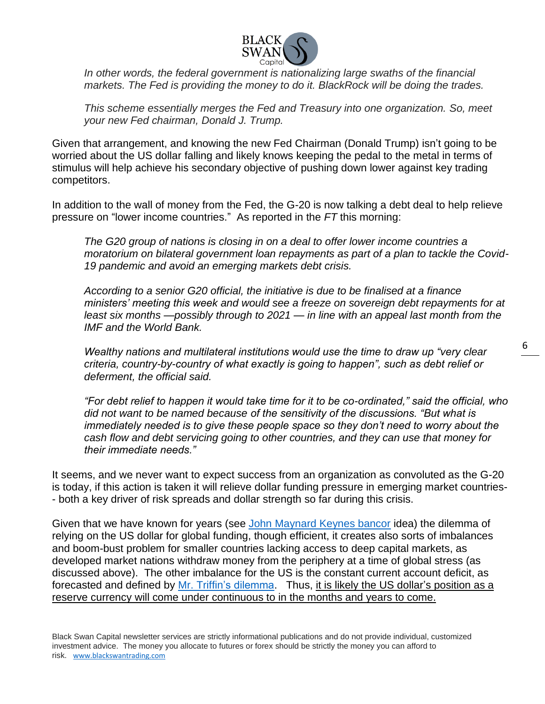

*In other words, the federal government is nationalizing large swaths of the financial markets. The Fed is providing the money to do it. BlackRock will be doing the trades.*

*This scheme essentially merges the Fed and Treasury into one organization. So, meet your new Fed chairman, Donald J. Trump.*

Given that arrangement, and knowing the new Fed Chairman (Donald Trump) isn't going to be worried about the US dollar falling and likely knows keeping the pedal to the metal in terms of stimulus will help achieve his secondary objective of pushing down lower against key trading competitors.

In addition to the wall of money from the Fed, the G-20 is now talking a debt deal to help relieve pressure on "lower income countries." As reported in the *FT* this morning:

*The G20 group of nations is closing in on a deal to offer lower income countries a moratorium on bilateral government loan repayments as part of a plan to tackle the Covid-19 pandemic and avoid an emerging markets debt crisis.*

*According to a senior G20 official, the initiative is due to be finalised at a finance ministers' meeting this week and would see a freeze on sovereign debt repayments for at least six months —possibly through to 2021 — in line with an appeal last month from the IMF and the World Bank.*

*Wealthy nations and multilateral institutions would use the time to draw up "very clear criteria, country-by-country of what exactly is going to happen", such as debt relief or deferment, the official said.*

*"For debt relief to happen it would take time for it to be co-ordinated," said the official, who did not want to be named because of the sensitivity of the discussions. "But what is immediately needed is to give these people space so they don't need to worry about the cash flow and debt servicing going to other countries, and they can use that money for their immediate needs."*

It seems, and we never want to expect success from an organization as convoluted as the G-20 is today, if this action is taken it will relieve dollar funding pressure in emerging market countries- - both a key driver of risk spreads and dollar strength so far during this crisis.

Given that we have known for years (see [John Maynard Keynes bancor](https://en.wikipedia.org/wiki/Bancor) idea) the dilemma of relying on the US dollar for global funding, though efficient, it creates also sorts of imbalances and boom-bust problem for smaller countries lacking access to deep capital markets, as developed market nations withdraw money from the periphery at a time of global stress (as discussed above). The other imbalance for the US is the constant current account deficit, as forecasted and defined by [Mr. Triffin's dilemma.](https://en.wikipedia.org/wiki/Triffin_dilemma) Thus, it is likely the US dollar's position as a reserve currency will come under continuous to in the months and years to come.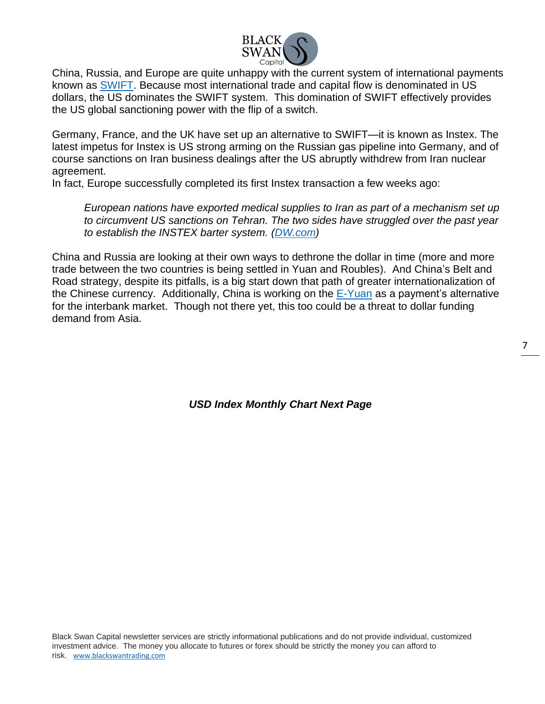

China, Russia, and Europe are quite unhappy with the current system of international payments known as [SWIFT.](https://en.wikipedia.org/wiki/Society_for_Worldwide_Interbank_Financial_Telecommunication) Because most international trade and capital flow is denominated in US dollars, the US dominates the SWIFT system. This domination of SWIFT effectively provides the US global sanctioning power with the flip of a switch.

Germany, France, and the UK have set up an alternative to SWIFT—it is known as Instex. The latest impetus for Instex is US strong arming on the Russian gas pipeline into Germany, and of course sanctions on Iran business dealings after the US abruptly withdrew from Iran nuclear agreement.

In fact, Europe successfully completed its first Instex transaction a few weeks ago:

*European nations have exported medical supplies to Iran as part of a mechanism set up to circumvent US sanctions on Tehran. The two sides have struggled over the past year to establish the INSTEX barter system. [\(DW.com\)](https://www.dw.com/en/europe-and-iran-complete-first-instex-deal-dodging-us-sanctions/a-52966842)*

China and Russia are looking at their own ways to dethrone the dollar in time (more and more trade between the two countries is being settled in Yuan and Roubles). And China's Belt and Road strategy, despite its pitfalls, is a big start down that path of greater internationalization of the Chinese currency. Additionally, China is working on the [E-Yuan](https://coinrevolution.com/chinas-e-yuan-will-be-more-cryptic-than-crypto/) as a payment's alternative for the interbank market. Though not there yet, this too could be a threat to dollar funding demand from Asia.

*USD Index Monthly Chart Next Page*